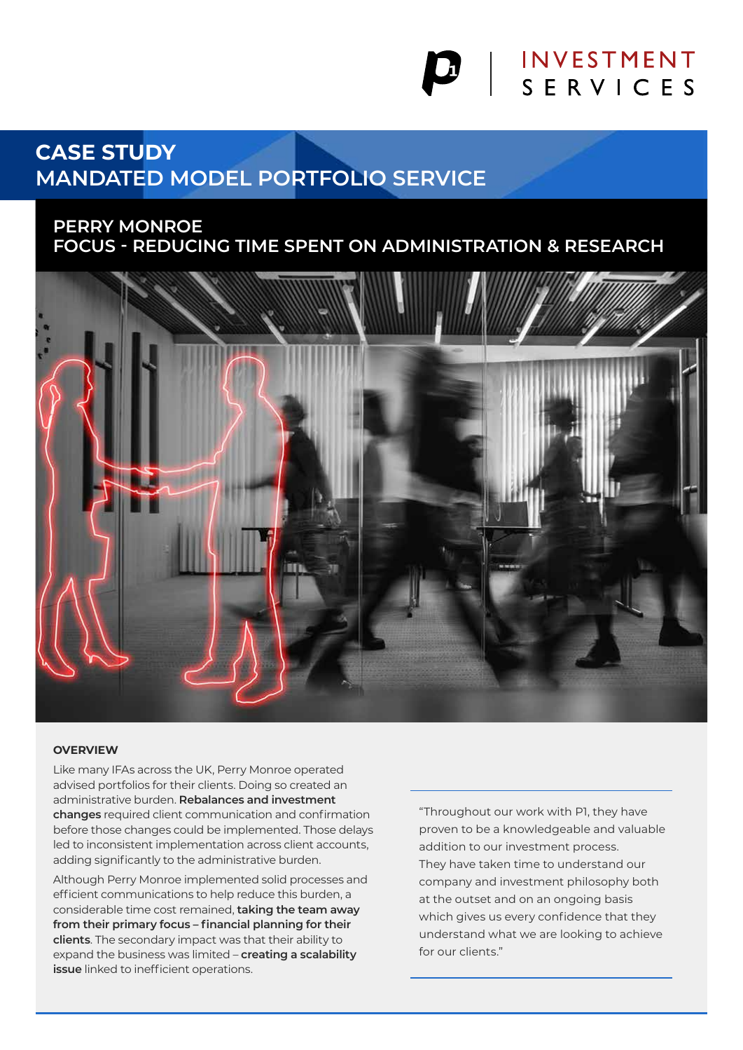# **INVESTMENT** SERVICES

# **CASE STUDY MANDATED MODEL PORTFOLIO SERVICE**

### **PERRY MONROE FOCUS - REDUCING TIME SPENT ON ADMINISTRATION & RESEARCH**



#### **OVERVIEW**

Like many IFAs across the UK, Perry Monroe operated advised portfolios for their clients. Doing so created an administrative burden. **Rebalances and investment changes** required client communication and confirmation before those changes could be implemented. Those delays led to inconsistent implementation across client accounts, adding significantly to the administrative burden.

Although Perry Monroe implemented solid processes and efficient communications to help reduce this burden, a considerable time cost remained, **taking the team away from their primary focus – financial planning for their clients**. The secondary impact was that their ability to expand the business was limited – **creating a scalability issue** linked to inefficient operations.

"Throughout our work with P1, they have proven to be a knowledgeable and valuable addition to our investment process. They have taken time to understand our company and investment philosophy both at the outset and on an ongoing basis which gives us every confidence that they understand what we are looking to achieve for our clients."